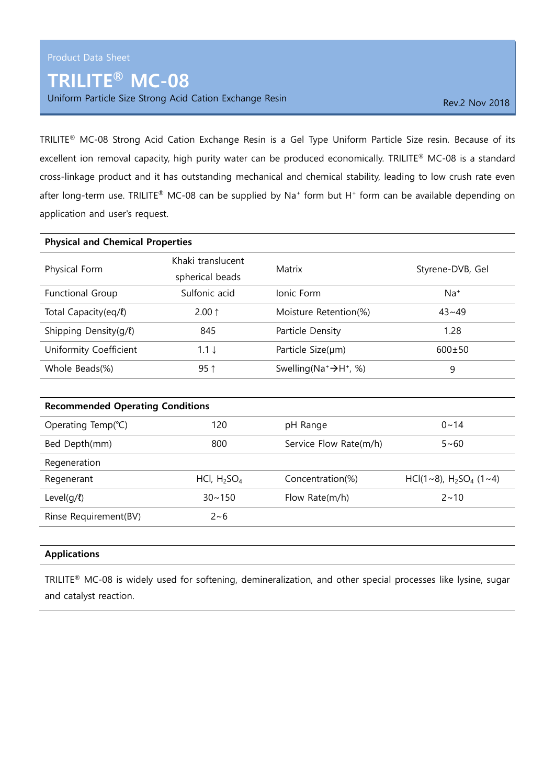## TRILITE® MC-08

Uniform Particle Size Strong Acid Cation Exchange Resin Rev. 2 Nov 2018

TRILITE® MC-08 Strong Acid Cation Exchange Resin is a Gel Type Uniform Particle Size resin. Because of its excellent ion removal capacity, high purity water can be produced economically. TRILITE® MC-08 is a standard cross-linkage product and it has outstanding mechanical and chemical stability, leading to low crush rate even after long-term use. TRILITE® MC-08 can be supplied by Na<sup>+</sup> form but H<sup>+</sup> form can be available depending on application and user's request.

| <b>Physical and Chemical Properties</b> |                                      |                                       |                  |  |
|-----------------------------------------|--------------------------------------|---------------------------------------|------------------|--|
| Physical Form                           | Khaki translucent<br>spherical beads | Matrix                                | Styrene-DVB, Gel |  |
| Functional Group                        | Sulfonic acid                        | Ionic Form                            | $Na+$            |  |
| Total Capacity(eq/l)                    | $2.00 \uparrow$                      | Moisture Retention(%)                 | $43 - 49$        |  |
| Shipping Density(g/l)                   | 845                                  | Particle Density                      | 1.28             |  |
| Uniformity Coefficient                  | $1.1 \downarrow$                     | Particle Size(um)                     | $600 \pm 50$     |  |
| Whole Beads(%)                          | $95$ ↑                               | Swelling( $Na^+ \rightarrow H^+$ , %) | 9                |  |
|                                         |                                      |                                       |                  |  |
| <b>Recommended Operating Conditions</b> |                                      |                                       |                  |  |
| Operating Temp(°C)                      | 120                                  | pH Range                              | $0 - 14$         |  |
| Bed Depth(mm)                           | 800                                  | Service Flow Rate(m/h)                | $5 - 60$         |  |

| <b>INCUCITEFALIOIT</b> |                |                  |                              |  |  |
|------------------------|----------------|------------------|------------------------------|--|--|
| Regenerant             | HCl, $H_2SO_4$ | Concentration(%) | $HCl(1~8)$ , $H_2SO_4$ (1~4) |  |  |
| Level(g/ $\ell$ )      | $30 \sim 150$  | Flow Rate(m/h)   | $2 \sim 10$                  |  |  |
| Rinse Requirement(BV)  | 2~6            |                  |                              |  |  |

## Applications

**Pegeneration** 

TRILITE® MC-08 is widely used for softening, demineralization, and other special processes like lysine, sugar and catalyst reaction.